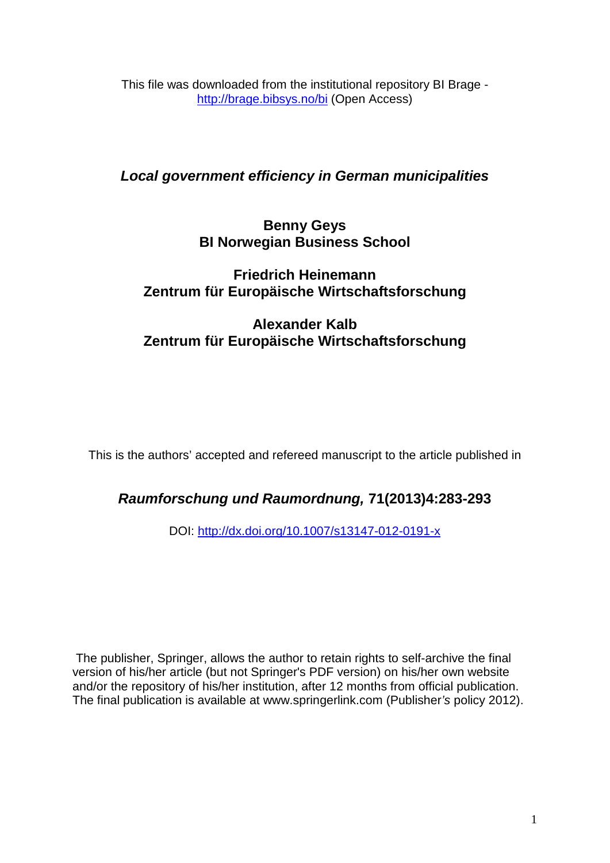This file was downloaded from the institutional repository BI Brage <http://brage.bibsys.no/bi> (Open Access)

# *Local government efficiency in German municipalities*

## **Benny Geys BI Norwegian Business School**

# **Friedrich Heinemann Zentrum für Europäische Wirtschaftsforschung**

# **Alexander Kalb Zentrum für Europäische Wirtschaftsforschung**

This is the authors' accepted and refereed manuscript to the article published in

# *Raumforschung und Raumordnung,* **71(2013)4:283-293**

DOI: <http://dx.doi.org/10.1007/s13147-012-0191-x>

The publisher, Springer, allows the author to retain rights to self-archive the final version of his/her article (but not Springer's PDF version) on his/her own website and/or the repository of his/her institution, after 12 months from official publication. The final publication is available at www.springerlink.com (Publisher*'s* policy 2012).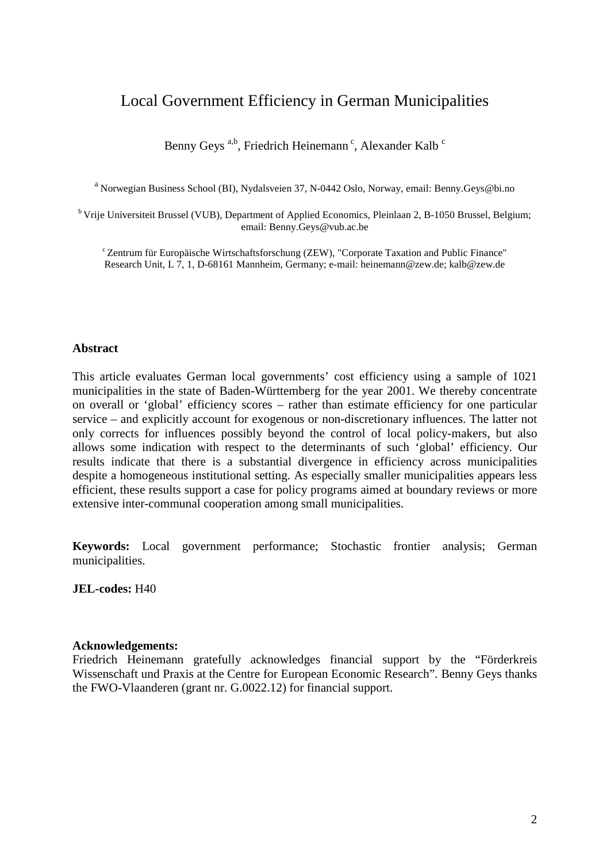# Local Government Efficiency in German Municipalities

Benny Geys<sup>a,b</sup>, Friedrich Heinemann<sup>c</sup>, Alexander Kalb<sup>c</sup>

<sup>a</sup> Norwegian Business School (BI), Nydalsveien 37, N-0442 Oslo, Norway, email: Benny.Geys@bi.no

<sup>b</sup> Vrije Universiteit Brussel (VUB), Department of Applied Economics, Pleinlaan 2, B-1050 Brussel, Belgium; email: Benny.Geys@vub.ac.be

c Zentrum für Europäische Wirtschaftsforschung (ZEW), "Corporate Taxation and Public Finance" Research Unit, L 7, 1, D-68161 Mannheim, Germany; e-mail: heinemann@zew.de; kalb@zew.de

#### **Abstract**

This article evaluates German local governments' cost efficiency using a sample of 1021 municipalities in the state of Baden-Württemberg for the year 2001. We thereby concentrate on overall or 'global' efficiency scores – rather than estimate efficiency for one particular service – and explicitly account for exogenous or non-discretionary influences. The latter not only corrects for influences possibly beyond the control of local policy-makers, but also allows some indication with respect to the determinants of such 'global' efficiency. Our results indicate that there is a substantial divergence in efficiency across municipalities despite a homogeneous institutional setting. As especially smaller municipalities appears less efficient, these results support a case for policy programs aimed at boundary reviews or more extensive inter-communal cooperation among small municipalities.

**Keywords:** Local government performance; Stochastic frontier analysis; German municipalities.

**JEL-codes:** H40

### **Acknowledgements:**

Friedrich Heinemann gratefully acknowledges financial support by the "Förderkreis Wissenschaft und Praxis at the Centre for European Economic Research". Benny Geys thanks the FWO-Vlaanderen (grant nr. G.0022.12) for financial support.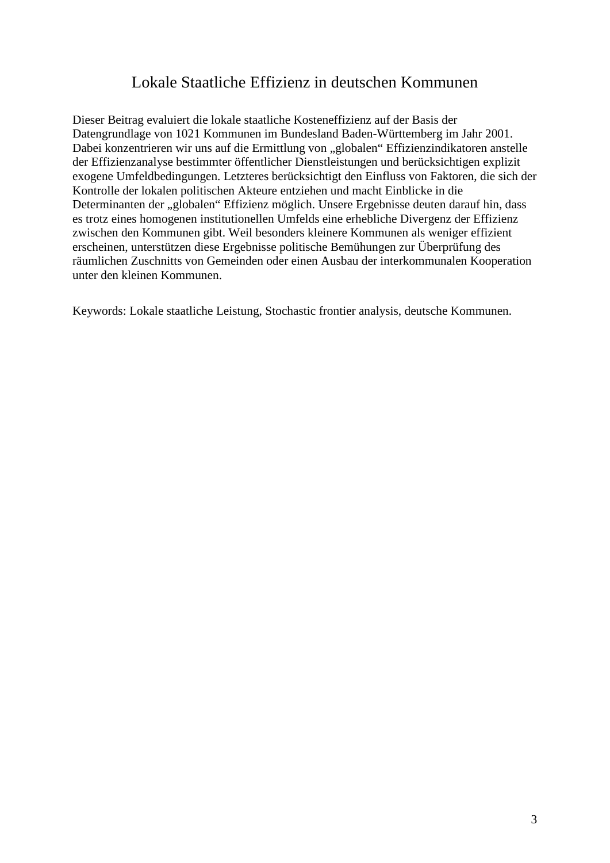# Lokale Staatliche Effizienz in deutschen Kommunen

Dieser Beitrag evaluiert die lokale staatliche Kosteneffizienz auf der Basis der Datengrundlage von 1021 Kommunen im Bundesland Baden-Württemberg im Jahr 2001. Dabei konzentrieren wir uns auf die Ermittlung von "globalen" Effizienzindikatoren anstelle der Effizienzanalyse bestimmter öffentlicher Dienstleistungen und berücksichtigen explizit exogene Umfeldbedingungen. Letzteres berücksichtigt den Einfluss von Faktoren, die sich der Kontrolle der lokalen politischen Akteure entziehen und macht Einblicke in die Determinanten der "globalen" Effizienz möglich. Unsere Ergebnisse deuten darauf hin, dass es trotz eines homogenen institutionellen Umfelds eine erhebliche Divergenz der Effizienz zwischen den Kommunen gibt. Weil besonders kleinere Kommunen als weniger effizient erscheinen, unterstützen diese Ergebnisse politische Bemühungen zur Überprüfung des räumlichen Zuschnitts von Gemeinden oder einen Ausbau der interkommunalen Kooperation unter den kleinen Kommunen.

Keywords: Lokale staatliche Leistung, Stochastic frontier analysis, deutsche Kommunen.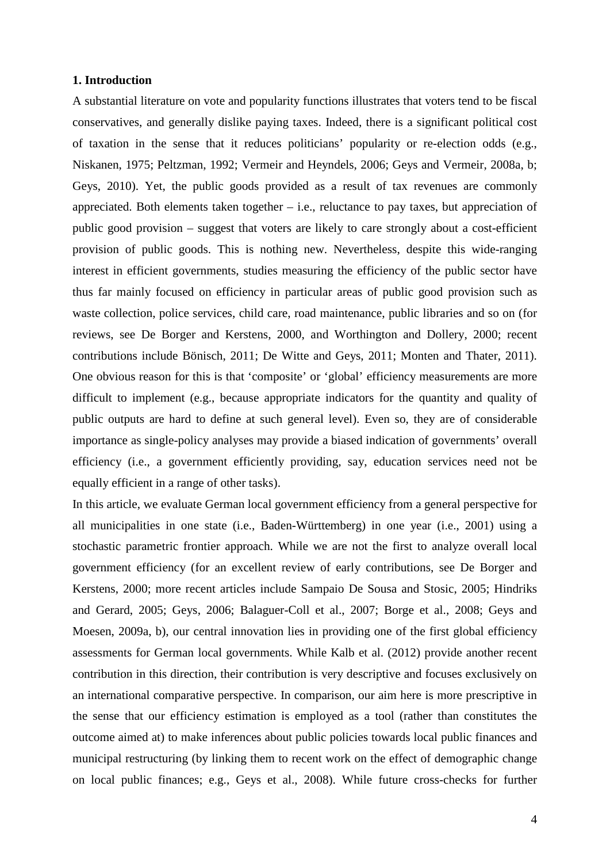### **1. Introduction**

A substantial literature on vote and popularity functions illustrates that voters tend to be fiscal conservatives, and generally dislike paying taxes. Indeed, there is a significant political cost of taxation in the sense that it reduces politicians' popularity or re-election odds (e.g., Niskanen, 1975; Peltzman, 1992; Vermeir and Heyndels, 2006; Geys and Vermeir, 2008a, b; Geys, 2010). Yet, the public goods provided as a result of tax revenues are commonly appreciated. Both elements taken together  $-$  i.e., reluctance to pay taxes, but appreciation of public good provision – suggest that voters are likely to care strongly about a cost-efficient provision of public goods. This is nothing new. Nevertheless, despite this wide-ranging interest in efficient governments, studies measuring the efficiency of the public sector have thus far mainly focused on efficiency in particular areas of public good provision such as waste collection, police services, child care, road maintenance, public libraries and so on (for reviews, see De Borger and Kerstens, 2000, and Worthington and Dollery, 2000; recent contributions include Bönisch, 2011; De Witte and Geys, 2011; Monten and Thater, 2011). One obvious reason for this is that 'composite' or 'global' efficiency measurements are more difficult to implement (e.g., because appropriate indicators for the quantity and quality of public outputs are hard to define at such general level). Even so, they are of considerable importance as single-policy analyses may provide a biased indication of governments' overall efficiency (i.e., a government efficiently providing, say, education services need not be equally efficient in a range of other tasks).

In this article, we evaluate German local government efficiency from a general perspective for all municipalities in one state (i.e., Baden-Württemberg) in one year (i.e., 2001) using a stochastic parametric frontier approach. While we are not the first to analyze overall local government efficiency (for an excellent review of early contributions, see De Borger and Kerstens, 2000; more recent articles include Sampaio De Sousa and Stosic, 2005; Hindriks and Gerard, 2005; Geys, 2006; Balaguer-Coll et al., 2007; Borge et al., 2008; Geys and Moesen, 2009a, b), our central innovation lies in providing one of the first global efficiency assessments for German local governments. While Kalb et al. (2012) provide another recent contribution in this direction, their contribution is very descriptive and focuses exclusively on an international comparative perspective. In comparison, our aim here is more prescriptive in the sense that our efficiency estimation is employed as a tool (rather than constitutes the outcome aimed at) to make inferences about public policies towards local public finances and municipal restructuring (by linking them to recent work on the effect of demographic change on local public finances; e.g., Geys et al., 2008). While future cross-checks for further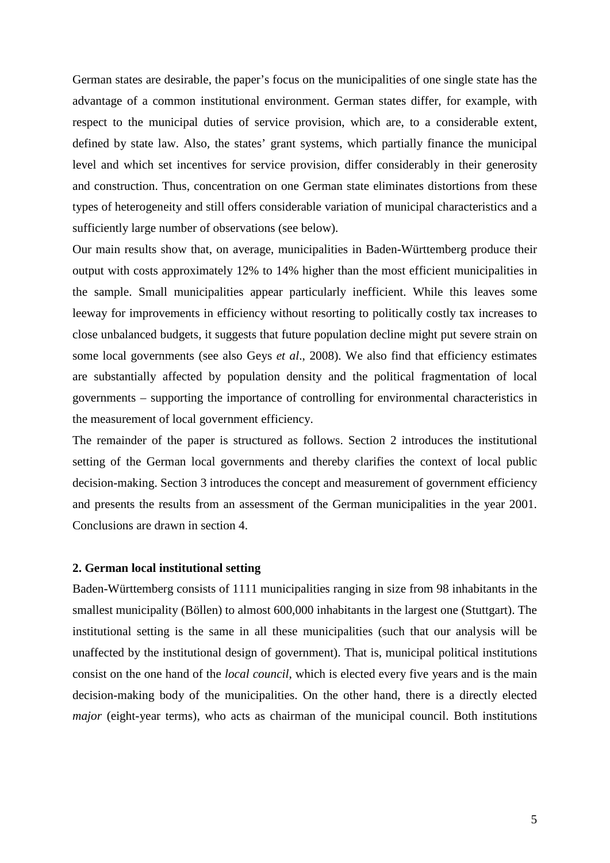German states are desirable, the paper's focus on the municipalities of one single state has the advantage of a common institutional environment. German states differ, for example, with respect to the municipal duties of service provision, which are, to a considerable extent, defined by state law. Also, the states' grant systems, which partially finance the municipal level and which set incentives for service provision, differ considerably in their generosity and construction. Thus, concentration on one German state eliminates distortions from these types of heterogeneity and still offers considerable variation of municipal characteristics and a sufficiently large number of observations (see below).

Our main results show that, on average, municipalities in Baden-Württemberg produce their output with costs approximately 12% to 14% higher than the most efficient municipalities in the sample. Small municipalities appear particularly inefficient. While this leaves some leeway for improvements in efficiency without resorting to politically costly tax increases to close unbalanced budgets, it suggests that future population decline might put severe strain on some local governments (see also Geys *et al*., 2008). We also find that efficiency estimates are substantially affected by population density and the political fragmentation of local governments – supporting the importance of controlling for environmental characteristics in the measurement of local government efficiency.

The remainder of the paper is structured as follows. Section 2 introduces the institutional setting of the German local governments and thereby clarifies the context of local public decision-making. Section 3 introduces the concept and measurement of government efficiency and presents the results from an assessment of the German municipalities in the year 2001. Conclusions are drawn in section 4.

### **2. German local institutional setting**

Baden-Württemberg consists of 1111 municipalities ranging in size from 98 inhabitants in the smallest municipality (Böllen) to almost 600,000 inhabitants in the largest one (Stuttgart). The institutional setting is the same in all these municipalities (such that our analysis will be unaffected by the institutional design of government). That is, municipal political institutions consist on the one hand of the *local council*, which is elected every five years and is the main decision-making body of the municipalities. On the other hand, there is a directly elected *major* (eight-year terms), who acts as chairman of the municipal council. Both institutions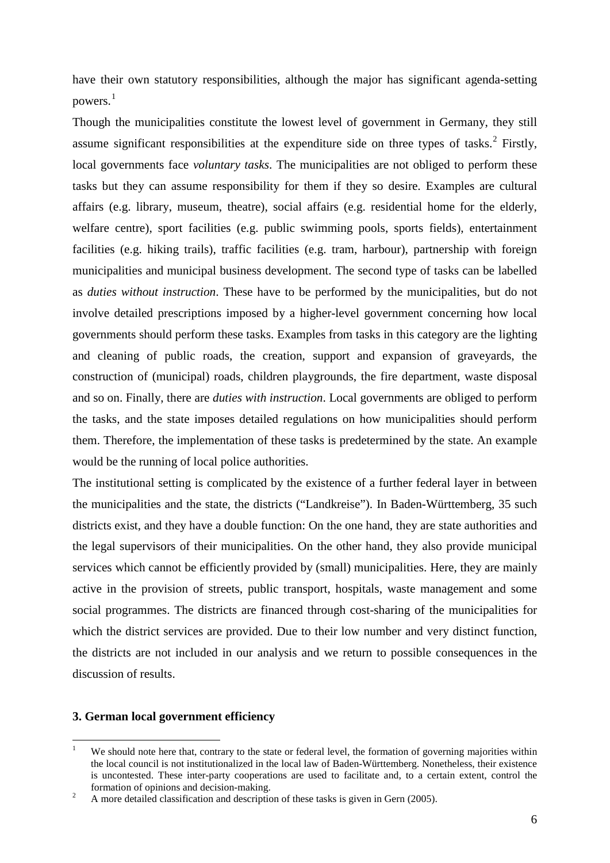have their own statutory responsibilities, although the major has significant agenda-setting powers. [1](#page-5-0)

Though the municipalities constitute the lowest level of government in Germany, they still assume significant responsibilities at the expenditure side on three types of tasks.<sup>[2](#page-5-1)</sup> Firstly, local governments face *voluntary tasks*. The municipalities are not obliged to perform these tasks but they can assume responsibility for them if they so desire. Examples are cultural affairs (e.g. library, museum, theatre), social affairs (e.g. residential home for the elderly, welfare centre), sport facilities (e.g. public swimming pools, sports fields), entertainment facilities (e.g. hiking trails), traffic facilities (e.g. tram, harbour), partnership with foreign municipalities and municipal business development. The second type of tasks can be labelled as *duties without instruction*. These have to be performed by the municipalities, but do not involve detailed prescriptions imposed by a higher-level government concerning how local governments should perform these tasks. Examples from tasks in this category are the lighting and cleaning of public roads, the creation, support and expansion of graveyards, the construction of (municipal) roads, children playgrounds, the fire department, waste disposal and so on. Finally, there are *duties with instruction*. Local governments are obliged to perform the tasks, and the state imposes detailed regulations on how municipalities should perform them. Therefore, the implementation of these tasks is predetermined by the state. An example would be the running of local police authorities.

The institutional setting is complicated by the existence of a further federal layer in between the municipalities and the state, the districts ("Landkreise"). In Baden-Württemberg, 35 such districts exist, and they have a double function: On the one hand, they are state authorities and the legal supervisors of their municipalities. On the other hand, they also provide municipal services which cannot be efficiently provided by (small) municipalities. Here, they are mainly active in the provision of streets, public transport, hospitals, waste management and some social programmes. The districts are financed through cost-sharing of the municipalities for which the district services are provided. Due to their low number and very distinct function, the districts are not included in our analysis and we return to possible consequences in the discussion of results.

### **3. German local government efficiency**

<span id="page-5-0"></span>We should note here that, contrary to the state or federal level, the formation of governing majorities within the local council is not institutionalized in the local law of Baden-Württemberg. Nonetheless, their existence is uncontested. These inter-party cooperations are used to facilitate and, to a certain extent, control the formation of opinions and decision-making.<br><sup>2</sup> A more detailed classification and description of these tasks is given in Gern (2005).

<span id="page-5-1"></span>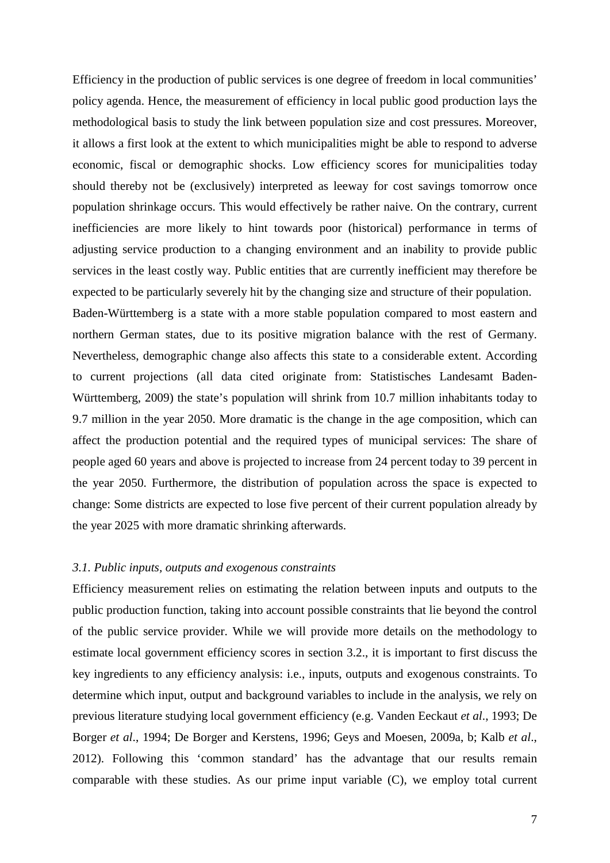Efficiency in the production of public services is one degree of freedom in local communities' policy agenda. Hence, the measurement of efficiency in local public good production lays the methodological basis to study the link between population size and cost pressures. Moreover, it allows a first look at the extent to which municipalities might be able to respond to adverse economic, fiscal or demographic shocks. Low efficiency scores for municipalities today should thereby not be (exclusively) interpreted as leeway for cost savings tomorrow once population shrinkage occurs. This would effectively be rather naive. On the contrary, current inefficiencies are more likely to hint towards poor (historical) performance in terms of adjusting service production to a changing environment and an inability to provide public services in the least costly way. Public entities that are currently inefficient may therefore be expected to be particularly severely hit by the changing size and structure of their population.

Baden-Württemberg is a state with a more stable population compared to most eastern and northern German states, due to its positive migration balance with the rest of Germany. Nevertheless, demographic change also affects this state to a considerable extent. According to current projections (all data cited originate from: Statistisches Landesamt Baden-Württemberg, 2009) the state's population will shrink from 10.7 million inhabitants today to 9.7 million in the year 2050. More dramatic is the change in the age composition, which can affect the production potential and the required types of municipal services: The share of people aged 60 years and above is projected to increase from 24 percent today to 39 percent in the year 2050. Furthermore, the distribution of population across the space is expected to change: Some districts are expected to lose five percent of their current population already by the year 2025 with more dramatic shrinking afterwards.

## *3.1. Public inputs, outputs and exogenous constraints*

Efficiency measurement relies on estimating the relation between inputs and outputs to the public production function, taking into account possible constraints that lie beyond the control of the public service provider. While we will provide more details on the methodology to estimate local government efficiency scores in section 3.2., it is important to first discuss the key ingredients to any efficiency analysis: i.e., inputs, outputs and exogenous constraints. To determine which input, output and background variables to include in the analysis, we rely on previous literature studying local government efficiency (e.g. Vanden Eeckaut *et al*., 1993; De Borger *et al*., 1994; De Borger and Kerstens, 1996; Geys and Moesen, 2009a, b; Kalb *et al*., 2012). Following this 'common standard' has the advantage that our results remain comparable with these studies. As our prime input variable (C), we employ total current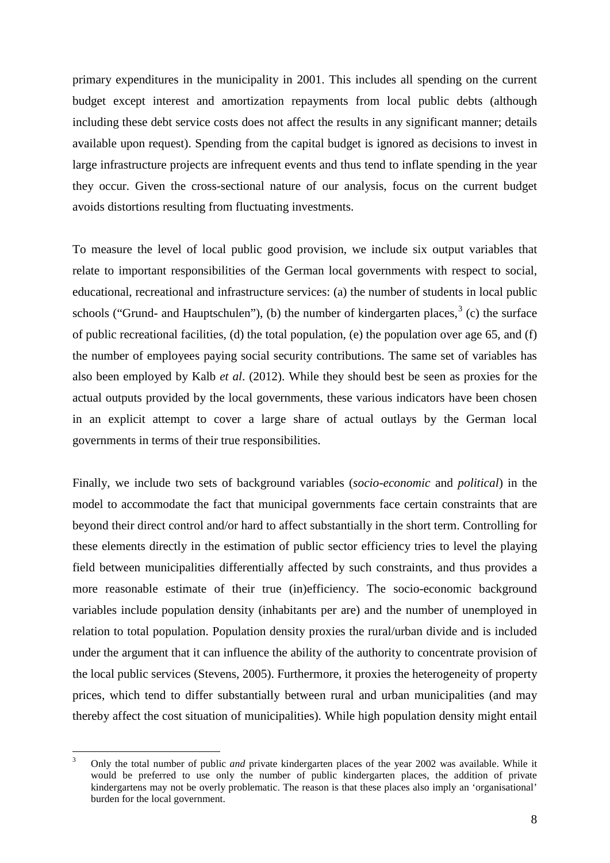primary expenditures in the municipality in 2001. This includes all spending on the current budget except interest and amortization repayments from local public debts (although including these debt service costs does not affect the results in any significant manner; details available upon request). Spending from the capital budget is ignored as decisions to invest in large infrastructure projects are infrequent events and thus tend to inflate spending in the year they occur. Given the cross-sectional nature of our analysis, focus on the current budget avoids distortions resulting from fluctuating investments.

To measure the level of local public good provision, we include six output variables that relate to important responsibilities of the German local governments with respect to social, educational, recreational and infrastructure services: (a) the number of students in local public schools ("Grund- and Hauptschulen"), (b) the number of kindergarten places,  $3$  (c) the surface of public recreational facilities, (d) the total population, (e) the population over age 65, and (f) the number of employees paying social security contributions. The same set of variables has also been employed by Kalb *et al*. (2012). While they should best be seen as proxies for the actual outputs provided by the local governments, these various indicators have been chosen in an explicit attempt to cover a large share of actual outlays by the German local governments in terms of their true responsibilities.

Finally, we include two sets of background variables (*socio-economic* and *political*) in the model to accommodate the fact that municipal governments face certain constraints that are beyond their direct control and/or hard to affect substantially in the short term. Controlling for these elements directly in the estimation of public sector efficiency tries to level the playing field between municipalities differentially affected by such constraints, and thus provides a more reasonable estimate of their true (in)efficiency. The socio-economic background variables include population density (inhabitants per are) and the number of unemployed in relation to total population. Population density proxies the rural/urban divide and is included under the argument that it can influence the ability of the authority to concentrate provision of the local public services (Stevens, 2005). Furthermore, it proxies the heterogeneity of property prices, which tend to differ substantially between rural and urban municipalities (and may thereby affect the cost situation of municipalities). While high population density might entail

<span id="page-7-0"></span> <sup>3</sup> Only the total number of public *and* private kindergarten places of the year 2002 was available. While it would be preferred to use only the number of public kindergarten places, the addition of private kindergartens may not be overly problematic. The reason is that these places also imply an 'organisational' burden for the local government.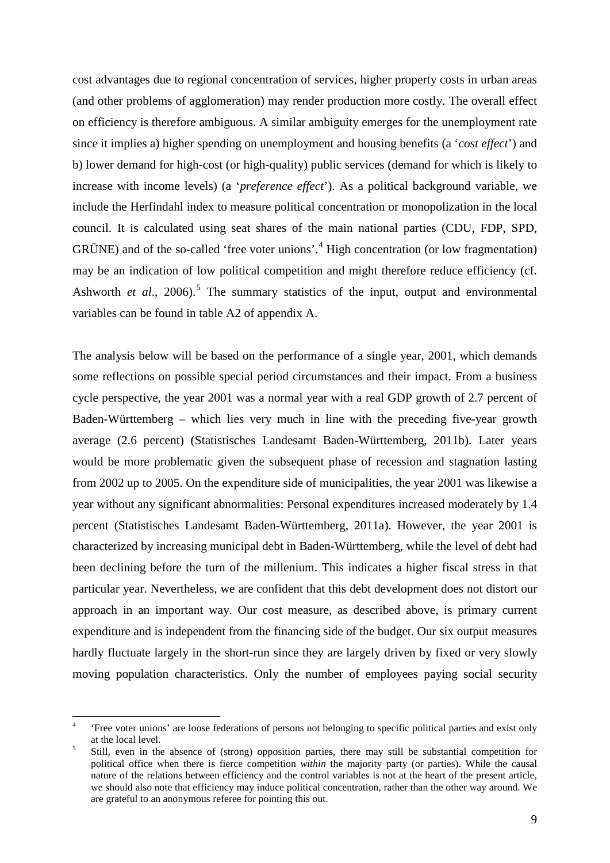cost advantages due to regional concentration of services, higher property costs in urban areas (and other problems of agglomeration) may render production more costly. The overall effect on efficiency is therefore ambiguous. A similar ambiguity emerges for the unemployment rate since it implies a) higher spending on unemployment and housing benefits (a '*cost effect*') and b) lower demand for high-cost (or high-quality) public services (demand for which is likely to increase with income levels) (a '*preference effect*'). As a political background variable, we include the Herfindahl index to measure political concentration or monopolization in the local council. It is calculated using seat shares of the main national parties (CDU, FDP, SPD, GRÜNE) and of the so-called 'free voter unions'.<sup>[4](#page-8-0)</sup> High concentration (or low fragmentation) may be an indication of low political competition and might therefore reduce efficiency (cf. Ashworth *et al.*, 2006).<sup>[5](#page-8-1)</sup> The summary statistics of the input, output and environmental variables can be found in table A2 of appendix A.

The analysis below will be based on the performance of a single year, 2001, which demands some reflections on possible special period circumstances and their impact. From a business cycle perspective, the year 2001 was a normal year with a real GDP growth of 2.7 percent of Baden-Württemberg – which lies very much in line with the preceding five-year growth average (2.6 percent) (Statistisches Landesamt Baden-Württemberg, 2011b). Later years would be more problematic given the subsequent phase of recession and stagnation lasting from 2002 up to 2005. On the expenditure side of municipalities, the year 2001 was likewise a year without any significant abnormalities: Personal expenditures increased moderately by 1.4 percent (Statistisches Landesamt Baden-Württemberg, 2011a). However, the year 2001 is characterized by increasing municipal debt in Baden-Württemberg, while the level of debt had been declining before the turn of the millenium. This indicates a higher fiscal stress in that particular year. Nevertheless, we are confident that this debt development does not distort our approach in an important way. Our cost measure, as described above, is primary current expenditure and is independent from the financing side of the budget. Our six output measures hardly fluctuate largely in the short-run since they are largely driven by fixed or very slowly moving population characteristics. Only the number of employees paying social security

<span id="page-8-0"></span> <sup>4</sup> 'Free voter unions' are loose federations of persons not belonging to specific political parties and exist only at the local level. <sup>5</sup> Still, even in the absence of (strong) opposition parties, there may still be substantial competition for

<span id="page-8-1"></span>political office when there is fierce competition *within* the majority party (or parties). While the causal nature of the relations between efficiency and the control variables is not at the heart of the present article, we should also note that efficiency may induce political concentration, rather than the other way around. We are grateful to an anonymous referee for pointing this out.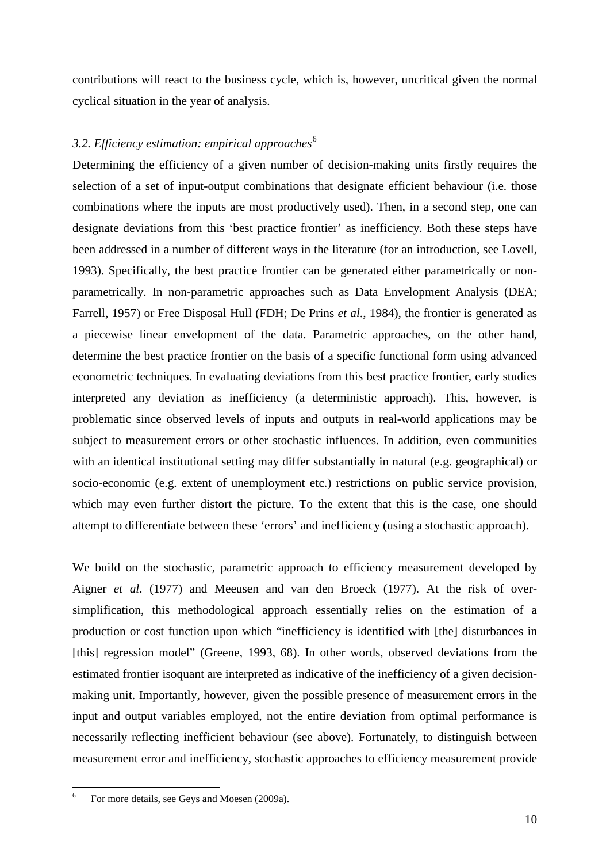contributions will react to the business cycle, which is, however, uncritical given the normal cyclical situation in the year of analysis.

## 3.2. Efficiency estimation: empirical approaches<sup>[6](#page-9-0)</sup>

Determining the efficiency of a given number of decision-making units firstly requires the selection of a set of input-output combinations that designate efficient behaviour (i.e. those combinations where the inputs are most productively used). Then, in a second step, one can designate deviations from this 'best practice frontier' as inefficiency. Both these steps have been addressed in a number of different ways in the literature (for an introduction, see Lovell, 1993). Specifically, the best practice frontier can be generated either parametrically or nonparametrically. In non-parametric approaches such as Data Envelopment Analysis (DEA; Farrell, 1957) or Free Disposal Hull (FDH; De Prins *et al*., 1984), the frontier is generated as a piecewise linear envelopment of the data. Parametric approaches, on the other hand, determine the best practice frontier on the basis of a specific functional form using advanced econometric techniques. In evaluating deviations from this best practice frontier, early studies interpreted any deviation as inefficiency (a deterministic approach). This, however, is problematic since observed levels of inputs and outputs in real-world applications may be subject to measurement errors or other stochastic influences. In addition, even communities with an identical institutional setting may differ substantially in natural (e.g. geographical) or socio-economic (e.g. extent of unemployment etc.) restrictions on public service provision, which may even further distort the picture. To the extent that this is the case, one should attempt to differentiate between these 'errors' and inefficiency (using a stochastic approach).

We build on the stochastic, parametric approach to efficiency measurement developed by Aigner *et al*. (1977) and Meeusen and van den Broeck (1977). At the risk of oversimplification, this methodological approach essentially relies on the estimation of a production or cost function upon which "inefficiency is identified with [the] disturbances in [this] regression model" (Greene, 1993, 68). In other words, observed deviations from the estimated frontier isoquant are interpreted as indicative of the inefficiency of a given decisionmaking unit. Importantly, however, given the possible presence of measurement errors in the input and output variables employed, not the entire deviation from optimal performance is necessarily reflecting inefficient behaviour (see above). Fortunately, to distinguish between measurement error and inefficiency, stochastic approaches to efficiency measurement provide

<span id="page-9-0"></span><sup>&</sup>lt;sup>6</sup> For more details, see Geys and Moesen (2009a).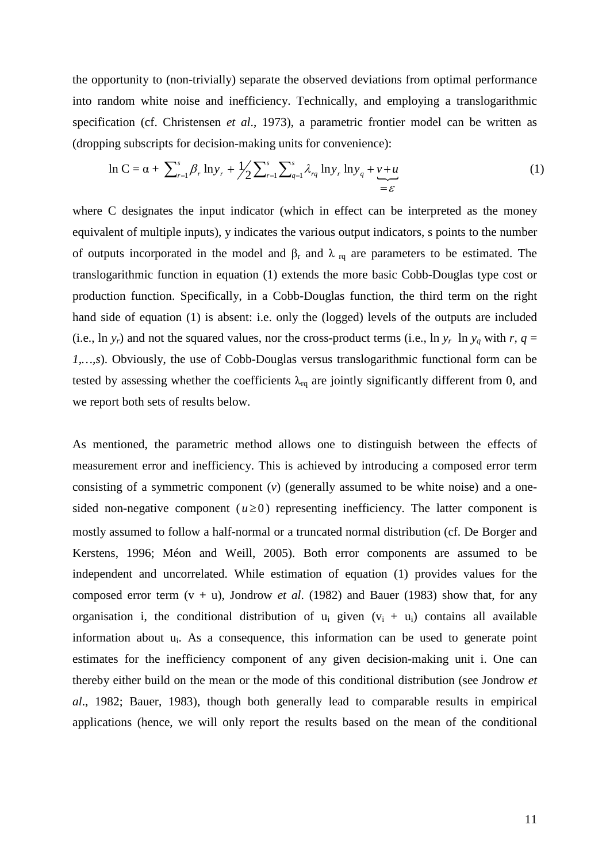the opportunity to (non-trivially) separate the observed deviations from optimal performance into random white noise and inefficiency. Technically, and employing a translogarithmic specification (cf. Christensen *et al*., 1973), a parametric frontier model can be written as (dropping subscripts for decision-making units for convenience):

$$
\ln C = \alpha + \sum_{r=1}^{s} \beta_r \ln y_r + \frac{1}{2} \sum_{r=1}^{s} \sum_{q=1}^{s} \lambda_{rq} \ln y_r \ln y_q + \underbrace{v+u}_{=\varepsilon} \tag{1}
$$

where C designates the input indicator (which in effect can be interpreted as the money equivalent of multiple inputs), y indicates the various output indicators, s points to the number of outputs incorporated in the model and  $\beta_r$  and  $\lambda_{rq}$  are parameters to be estimated. The translogarithmic function in equation (1) extends the more basic Cobb-Douglas type cost or production function. Specifically, in a Cobb-Douglas function, the third term on the right hand side of equation (1) is absent: i.e. only the (logged) levels of the outputs are included (i.e., ln  $y_r$ ) and not the squared values, nor the cross-product terms (i.e., ln  $y_r$  ln  $y_q$  with  $r$ ,  $q$  = *1,…,s*). Obviously, the use of Cobb-Douglas versus translogarithmic functional form can be tested by assessing whether the coefficients  $\lambda_{\text{rq}}$  are jointly significantly different from 0, and we report both sets of results below.

As mentioned, the parametric method allows one to distinguish between the effects of measurement error and inefficiency. This is achieved by introducing a composed error term consisting of a symmetric component (*v*) (generally assumed to be white noise) and a onesided non-negative component  $(u \ge 0)$  representing inefficiency. The latter component is mostly assumed to follow a half-normal or a truncated normal distribution (cf. De Borger and Kerstens, 1996; Méon and Weill, 2005). Both error components are assumed to be independent and uncorrelated. While estimation of equation (1) provides values for the composed error term  $(v + u)$ , Jondrow *et al.* (1982) and Bauer (1983) show that, for any organisation i, the conditional distribution of  $u_i$  given  $(v_i + u_i)$  contains all available information about u<sub>i</sub>. As a consequence, this information can be used to generate point estimates for the inefficiency component of any given decision-making unit i. One can thereby either build on the mean or the mode of this conditional distribution (see Jondrow *et al*., 1982; Bauer, 1983), though both generally lead to comparable results in empirical applications (hence, we will only report the results based on the mean of the conditional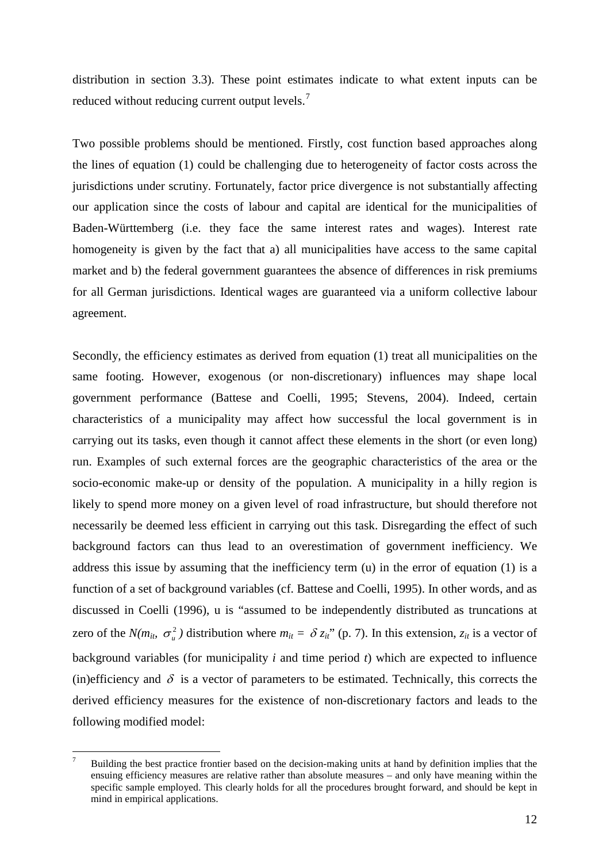distribution in section 3.3). These point estimates indicate to what extent inputs can be reduced without reducing current output levels.<sup>[7](#page-11-0)</sup>

Two possible problems should be mentioned. Firstly, cost function based approaches along the lines of equation (1) could be challenging due to heterogeneity of factor costs across the jurisdictions under scrutiny. Fortunately, factor price divergence is not substantially affecting our application since the costs of labour and capital are identical for the municipalities of Baden-Württemberg (i.e. they face the same interest rates and wages). Interest rate homogeneity is given by the fact that a) all municipalities have access to the same capital market and b) the federal government guarantees the absence of differences in risk premiums for all German jurisdictions. Identical wages are guaranteed via a uniform collective labour agreement.

Secondly, the efficiency estimates as derived from equation (1) treat all municipalities on the same footing. However, exogenous (or non-discretionary) influences may shape local government performance (Battese and Coelli, 1995; Stevens, 2004). Indeed, certain characteristics of a municipality may affect how successful the local government is in carrying out its tasks, even though it cannot affect these elements in the short (or even long) run. Examples of such external forces are the geographic characteristics of the area or the socio-economic make-up or density of the population. A municipality in a hilly region is likely to spend more money on a given level of road infrastructure, but should therefore not necessarily be deemed less efficient in carrying out this task. Disregarding the effect of such background factors can thus lead to an overestimation of government inefficiency. We address this issue by assuming that the inefficiency term (u) in the error of equation (1) is a function of a set of background variables (cf. Battese and Coelli, 1995). In other words, and as discussed in Coelli (1996), u is "assumed to be independently distributed as truncations at zero of the  $N(m_{it}, \sigma_u^2)$  distribution where  $m_{it} = \delta z_{it}$ " (p. 7). In this extension,  $z_{it}$  is a vector of background variables (for municipality *i* and time period *t*) which are expected to influence (in)efficiency and  $\delta$  is a vector of parameters to be estimated. Technically, this corrects the derived efficiency measures for the existence of non-discretionary factors and leads to the following modified model:

<span id="page-11-0"></span> <sup>7</sup> Building the best practice frontier based on the decision-making units at hand by definition implies that the ensuing efficiency measures are relative rather than absolute measures – and only have meaning within the specific sample employed. This clearly holds for all the procedures brought forward, and should be kept in mind in empirical applications.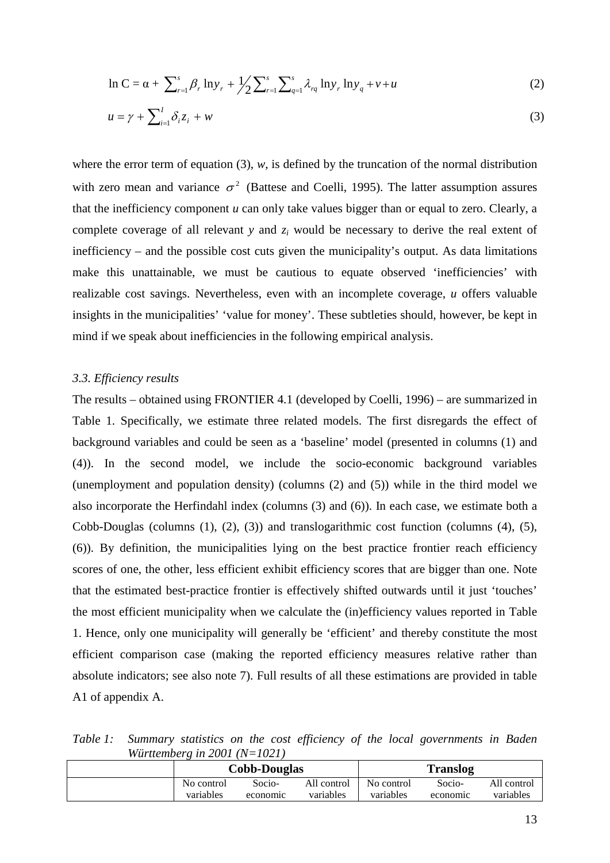$$
\ln C = \alpha + \sum_{r=1}^{s} \beta_r \ln y_r + \frac{1}{2} \sum_{r=1}^{s} \sum_{q=1}^{s} \lambda_{rq} \ln y_r \ln y_q + v + u \tag{2}
$$

$$
u = \gamma + \sum_{i=1}^{I} \delta_i z_i + w \tag{3}
$$

where the error term of equation (3), *w*, is defined by the truncation of the normal distribution with zero mean and variance  $\sigma^2$  (Battese and Coelli, 1995). The latter assumption assures that the inefficiency component *u* can only take values bigger than or equal to zero. Clearly, a complete coverage of all relevant  $y$  and  $z_i$  would be necessary to derive the real extent of inefficiency – and the possible cost cuts given the municipality's output. As data limitations make this unattainable, we must be cautious to equate observed 'inefficiencies' with realizable cost savings. Nevertheless, even with an incomplete coverage, *u* offers valuable insights in the municipalities' 'value for money'. These subtleties should, however, be kept in mind if we speak about inefficiencies in the following empirical analysis.

#### *3.3. Efficiency results*

The results – obtained using FRONTIER 4.1 (developed by Coelli, 1996) – are summarized in Table 1. Specifically, we estimate three related models. The first disregards the effect of background variables and could be seen as a 'baseline' model (presented in columns (1) and (4)). In the second model, we include the socio-economic background variables (unemployment and population density) (columns (2) and (5)) while in the third model we also incorporate the Herfindahl index (columns (3) and (6)). In each case, we estimate both a Cobb-Douglas (columns (1), (2), (3)) and translogarithmic cost function (columns (4), (5), (6)). By definition, the municipalities lying on the best practice frontier reach efficiency scores of one, the other, less efficient exhibit efficiency scores that are bigger than one. Note that the estimated best-practice frontier is effectively shifted outwards until it just 'touches' the most efficient municipality when we calculate the (in)efficiency values reported in Table 1. Hence, only one municipality will generally be 'efficient' and thereby constitute the most efficient comparison case (making the reported efficiency measures relative rather than absolute indicators; see also note 7). Full results of all these estimations are provided in table A1 of appendix A.

*Table 1: Summary statistics on the cost efficiency of the local governments in Baden Württemberg in 2001 (N=1021)*

| Cobb-Douglas |          |             | <b>Translog</b> |          |             |
|--------------|----------|-------------|-----------------|----------|-------------|
| No control   | Socio-   | All control | No control      | Socio-   | All control |
| variables    | economic | variables   | variables       | economic | variables   |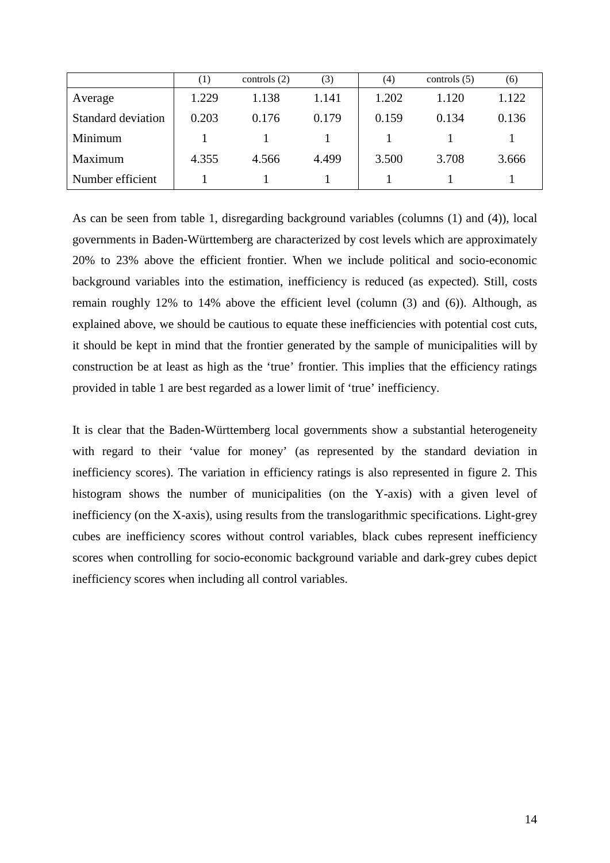|                    | (1)   | controls $(2)$ | (3)   | (4)   | controls $(5)$ | (6)   |
|--------------------|-------|----------------|-------|-------|----------------|-------|
| Average            | 1.229 | 1.138          | 1.141 | 1.202 | 1.120          | 1.122 |
| Standard deviation | 0.203 | 0.176          | 0.179 | 0.159 | 0.134          | 0.136 |
| Minimum            |       |                |       |       |                |       |
| Maximum            | 4.355 | 4.566          | 4.499 | 3.500 | 3.708          | 3.666 |
| Number efficient   |       |                |       |       |                |       |

As can be seen from table 1, disregarding background variables (columns (1) and (4)), local governments in Baden-Württemberg are characterized by cost levels which are approximately 20% to 23% above the efficient frontier. When we include political and socio-economic background variables into the estimation, inefficiency is reduced (as expected). Still, costs remain roughly 12% to 14% above the efficient level (column (3) and (6)). Although, as explained above, we should be cautious to equate these inefficiencies with potential cost cuts, it should be kept in mind that the frontier generated by the sample of municipalities will by construction be at least as high as the 'true' frontier. This implies that the efficiency ratings provided in table 1 are best regarded as a lower limit of 'true' inefficiency.

It is clear that the Baden-Württemberg local governments show a substantial heterogeneity with regard to their 'value for money' (as represented by the standard deviation in inefficiency scores). The variation in efficiency ratings is also represented in figure 2. This histogram shows the number of municipalities (on the Y-axis) with a given level of inefficiency (on the X-axis), using results from the translogarithmic specifications. Light-grey cubes are inefficiency scores without control variables, black cubes represent inefficiency scores when controlling for socio-economic background variable and dark-grey cubes depict inefficiency scores when including all control variables.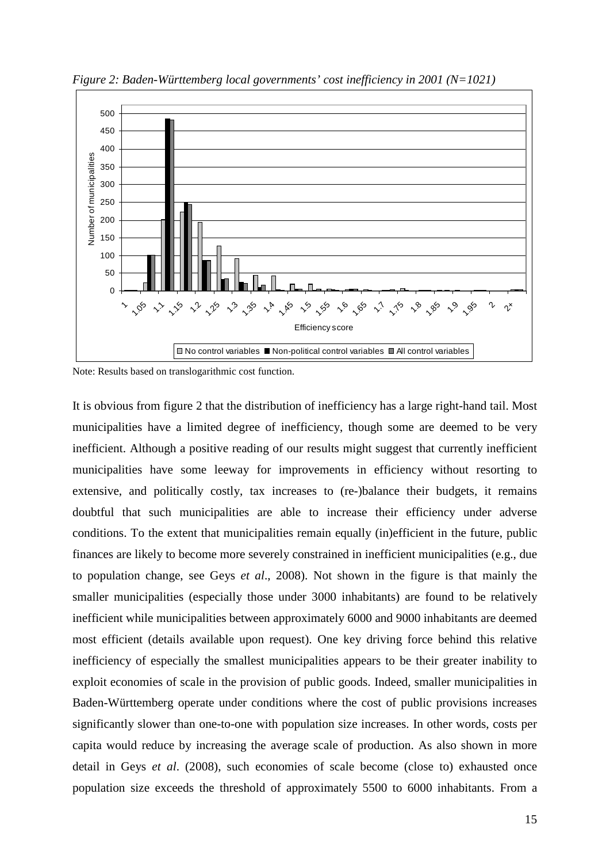

*Figure 2: Baden-Württemberg local governments' cost inefficiency in 2001 (N=1021)*

Note: Results based on translogarithmic cost function.

It is obvious from figure 2 that the distribution of inefficiency has a large right-hand tail. Most municipalities have a limited degree of inefficiency, though some are deemed to be very inefficient. Although a positive reading of our results might suggest that currently inefficient municipalities have some leeway for improvements in efficiency without resorting to extensive, and politically costly, tax increases to (re-)balance their budgets, it remains doubtful that such municipalities are able to increase their efficiency under adverse conditions. To the extent that municipalities remain equally (in)efficient in the future, public finances are likely to become more severely constrained in inefficient municipalities (e.g., due to population change, see Geys *et al*., 2008). Not shown in the figure is that mainly the smaller municipalities (especially those under 3000 inhabitants) are found to be relatively inefficient while municipalities between approximately 6000 and 9000 inhabitants are deemed most efficient (details available upon request). One key driving force behind this relative inefficiency of especially the smallest municipalities appears to be their greater inability to exploit economies of scale in the provision of public goods. Indeed, smaller municipalities in Baden-Württemberg operate under conditions where the cost of public provisions increases significantly slower than one-to-one with population size increases. In other words, costs per capita would reduce by increasing the average scale of production. As also shown in more detail in Geys *et al*. (2008), such economies of scale become (close to) exhausted once population size exceeds the threshold of approximately 5500 to 6000 inhabitants. From a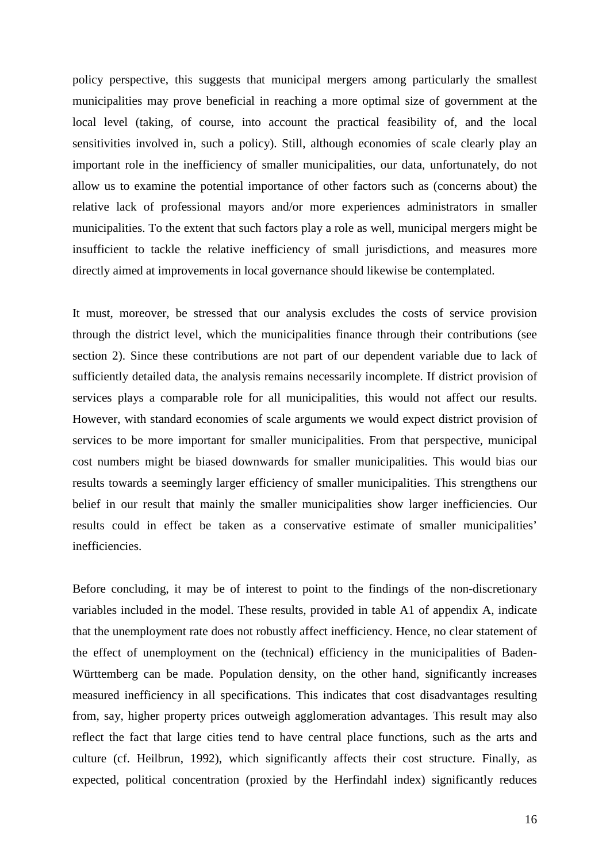policy perspective, this suggests that municipal mergers among particularly the smallest municipalities may prove beneficial in reaching a more optimal size of government at the local level (taking, of course, into account the practical feasibility of, and the local sensitivities involved in, such a policy). Still, although economies of scale clearly play an important role in the inefficiency of smaller municipalities, our data, unfortunately, do not allow us to examine the potential importance of other factors such as (concerns about) the relative lack of professional mayors and/or more experiences administrators in smaller municipalities. To the extent that such factors play a role as well, municipal mergers might be insufficient to tackle the relative inefficiency of small jurisdictions, and measures more directly aimed at improvements in local governance should likewise be contemplated.

It must, moreover, be stressed that our analysis excludes the costs of service provision through the district level, which the municipalities finance through their contributions (see section 2). Since these contributions are not part of our dependent variable due to lack of sufficiently detailed data, the analysis remains necessarily incomplete. If district provision of services plays a comparable role for all municipalities, this would not affect our results. However, with standard economies of scale arguments we would expect district provision of services to be more important for smaller municipalities. From that perspective, municipal cost numbers might be biased downwards for smaller municipalities. This would bias our results towards a seemingly larger efficiency of smaller municipalities. This strengthens our belief in our result that mainly the smaller municipalities show larger inefficiencies. Our results could in effect be taken as a conservative estimate of smaller municipalities' inefficiencies.

Before concluding, it may be of interest to point to the findings of the non-discretionary variables included in the model. These results, provided in table A1 of appendix A, indicate that the unemployment rate does not robustly affect inefficiency. Hence, no clear statement of the effect of unemployment on the (technical) efficiency in the municipalities of Baden-Württemberg can be made. Population density, on the other hand, significantly increases measured inefficiency in all specifications. This indicates that cost disadvantages resulting from, say, higher property prices outweigh agglomeration advantages. This result may also reflect the fact that large cities tend to have central place functions, such as the arts and culture (cf. Heilbrun, 1992), which significantly affects their cost structure. Finally, as expected, political concentration (proxied by the Herfindahl index) significantly reduces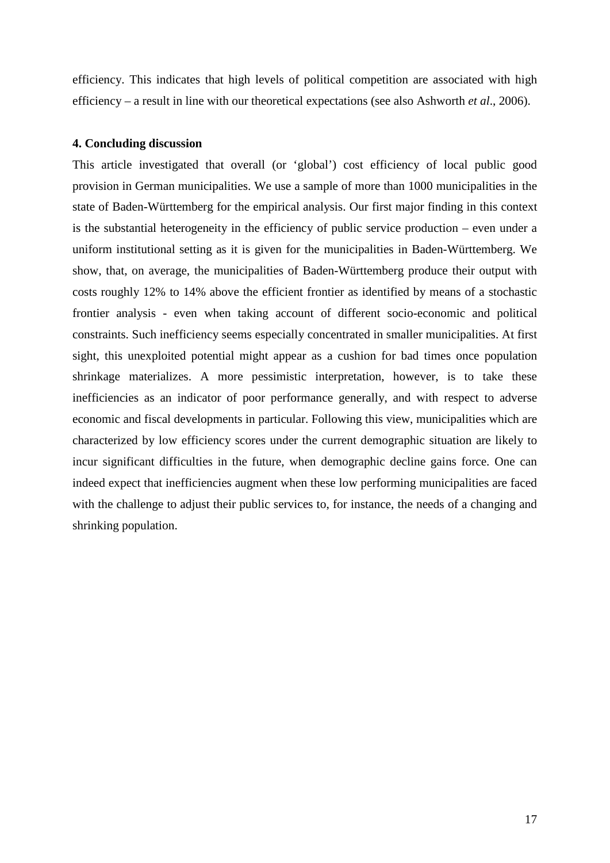efficiency. This indicates that high levels of political competition are associated with high efficiency – a result in line with our theoretical expectations (see also Ashworth *et al*., 2006).

## **4. Concluding discussion**

This article investigated that overall (or 'global') cost efficiency of local public good provision in German municipalities. We use a sample of more than 1000 municipalities in the state of Baden-Württemberg for the empirical analysis. Our first major finding in this context is the substantial heterogeneity in the efficiency of public service production – even under a uniform institutional setting as it is given for the municipalities in Baden-Württemberg. We show, that, on average, the municipalities of Baden-Württemberg produce their output with costs roughly 12% to 14% above the efficient frontier as identified by means of a stochastic frontier analysis - even when taking account of different socio-economic and political constraints. Such inefficiency seems especially concentrated in smaller municipalities. At first sight, this unexploited potential might appear as a cushion for bad times once population shrinkage materializes. A more pessimistic interpretation, however, is to take these inefficiencies as an indicator of poor performance generally, and with respect to adverse economic and fiscal developments in particular. Following this view, municipalities which are characterized by low efficiency scores under the current demographic situation are likely to incur significant difficulties in the future, when demographic decline gains force. One can indeed expect that inefficiencies augment when these low performing municipalities are faced with the challenge to adjust their public services to, for instance, the needs of a changing and shrinking population.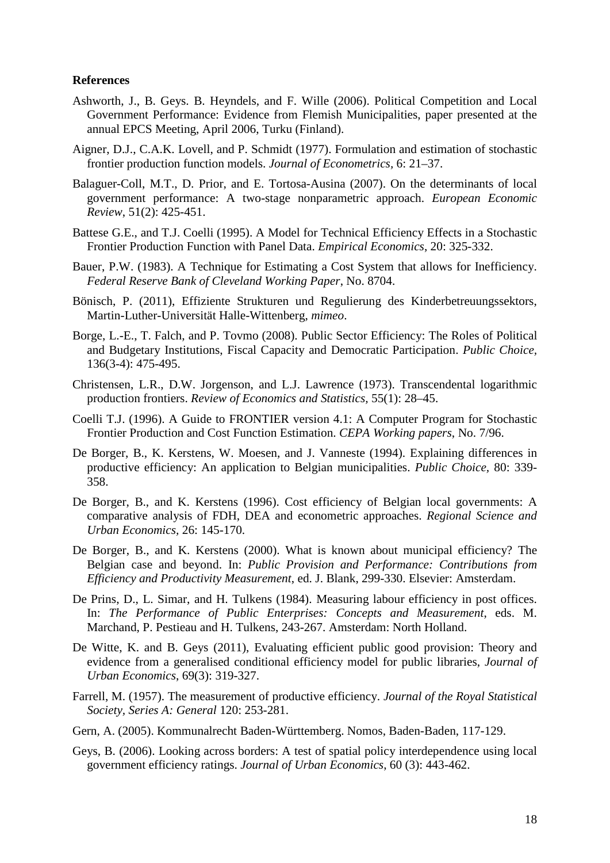#### **References**

- Ashworth, J., B. Geys. B. Heyndels, and F. Wille (2006). Political Competition and Local Government Performance: Evidence from Flemish Municipalities, paper presented at the annual EPCS Meeting, April 2006, Turku (Finland).
- Aigner, D.J., C.A.K. Lovell, and P. Schmidt (1977). Formulation and estimation of stochastic frontier production function models. *Journal of Econometrics,* 6: 21–37.
- Balaguer-Coll, M.T., D. Prior, and E. Tortosa-Ausina (2007). On the determinants of local government performance: A two-stage nonparametric approach. *European Economic Review*, 51(2): 425-451.
- Battese G.E., and T.J. Coelli (1995). A Model for Technical Efficiency Effects in a Stochastic Frontier Production Function with Panel Data. *Empirical Economics*, 20: 325-332.
- Bauer, P.W. (1983). A Technique for Estimating a Cost System that allows for Inefficiency. *Federal Reserve Bank of Cleveland Working Paper*, No. 8704.
- Bönisch, P. (2011), Effiziente Strukturen und Regulierung des Kinderbetreuungssektors, Martin-Luther-Universität Halle-Wittenberg, *mimeo*.
- Borge, L.-E., T. Falch, and P. Tovmo (2008). Public Sector Efficiency: The Roles of Political and Budgetary Institutions, Fiscal Capacity and Democratic Participation. *Public Choice,* 136(3-4): 475-495.
- Christensen, L.R., D.W. Jorgenson, and L.J. Lawrence (1973). Transcendental logarithmic production frontiers. *Review of Economics and Statistics,* 55(1): 28–45.
- Coelli T.J. (1996). A Guide to FRONTIER version 4.1: A Computer Program for Stochastic Frontier Production and Cost Function Estimation. *CEPA Working papers*, No. 7/96.
- De Borger, B., K. Kerstens, W. Moesen, and J. Vanneste (1994). Explaining differences in productive efficiency: An application to Belgian municipalities. *Public Choice,* 80: 339- 358.
- De Borger, B., and K. Kerstens (1996). Cost efficiency of Belgian local governments: A comparative analysis of FDH, DEA and econometric approaches. *Regional Science and Urban Economics,* 26: 145-170.
- De Borger, B., and K. Kerstens (2000). What is known about municipal efficiency? The Belgian case and beyond. In: *Public Provision and Performance: Contributions from Efficiency and Productivity Measurement*, ed. J. Blank, 299-330. Elsevier: Amsterdam.
- De Prins, D., L. Simar, and H. Tulkens (1984). Measuring labour efficiency in post offices. In: *The Performance of Public Enterprises: Concepts and Measurement*, eds. M. Marchand, P. Pestieau and H. Tulkens, 243-267. Amsterdam: North Holland.
- De Witte, K. and B. Geys (2011), Evaluating efficient public good provision: Theory and evidence from a generalised conditional efficiency model for public libraries, *Journal of Urban Economics*, 69(3): 319-327.
- Farrell, M. (1957). The measurement of productive efficiency. *Journal of the Royal Statistical Society, Series A: General* 120: 253-281.
- Gern, A. (2005). Kommunalrecht Baden-Württemberg. Nomos, Baden-Baden, 117-129.
- Geys, B. (2006). Looking across borders: A test of spatial policy interdependence using local government efficiency ratings. *Journal of Urban Economics*, 60 (3): 443-462.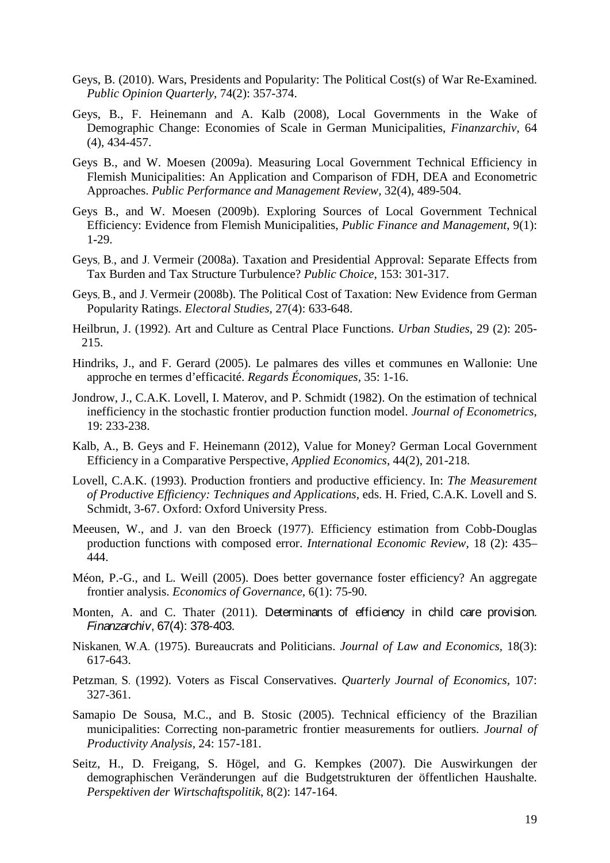- Geys, B. (2010). Wars, Presidents and Popularity: The Political Cost(s) of War Re-Examined. *Public Opinion Quarterly*, 74(2): 357-374.
- Geys, B., F. Heinemann and A. Kalb (2008), Local Governments in the Wake of Demographic Change: Economies of Scale in German Municipalities, *Finanzarchiv*, 64 (4), 434-457.
- Geys B., and W. Moesen (2009a). Measuring Local Government Technical Efficiency in Flemish Municipalities: An Application and Comparison of FDH, DEA and Econometric Approaches. *Public Performance and Management Review,* 32(4), 489-504.
- Geys B., and W. Moesen (2009b). Exploring Sources of Local Government Technical Efficiency: Evidence from Flemish Municipalities, *Public Finance and Management*, 9(1): 1-29.
- Geys, B., and J. Vermeir (2008a). Taxation and Presidential Approval: Separate Effects from Tax Burden and Tax Structure Turbulence? *Public Choice,* 153: 301-317.
- Geys, B., and J. Vermeir (2008b). The Political Cost of Taxation: New Evidence from German Popularity Ratings. *Electoral Studies,* 27(4): 633-648.
- Heilbrun, J. (1992). Art and Culture as Central Place Functions. *Urban Studies*, 29 (2): 205- 215.
- Hindriks, J., and F. Gerard (2005). Le palmares des villes et communes en Wallonie: Une approche en termes d'efficacité. *Regards Économiques,* 35: 1-16.
- Jondrow, J., C.A.K. Lovell, I. Materov, and P. Schmidt (1982). On the estimation of technical inefficiency in the stochastic frontier production function model. *Journal of Econometrics,* 19: 233-238.
- Kalb, A., B. Geys and F. Heinemann (2012), Value for Money? German Local Government Efficiency in a Comparative Perspective, *Applied Economics*, 44(2), 201-218.
- Lovell, C.A.K. (1993). Production frontiers and productive efficiency. In: *The Measurement of Productive Efficiency: Techniques and Applications*, eds. H. Fried, C.A.K. Lovell and S. Schmidt, 3-67. Oxford: Oxford University Press.
- Meeusen, W., and J. van den Broeck (1977). Efficiency estimation from Cobb-Douglas production functions with composed error. *International Economic Review,* 18 (2): 435– 444.
- Méon, P.-G., and L. Weill (2005). Does better governance foster efficiency? An aggregate frontier analysis. *Economics of Governance,* 6(1): 75-90.
- Monten, A. and C. Thater (2011). Determinants of efficiency in child care provision. *Finanzarchiv*, 67(4): 378-403.
- Niskanen, W.A. (1975). Bureaucrats and Politicians. *Journal of Law and Economics,* 18(3): 617-643.
- Petzman, S. (1992). Voters as Fiscal Conservatives. *Quarterly Journal of Economics,* 107: 327-361.
- Samapio De Sousa, M.C., and B. Stosic (2005). Technical efficiency of the Brazilian municipalities: Correcting non-parametric frontier measurements for outliers. *Journal of Productivity Analysis,* 24: 157-181.
- Seitz, H., D. Freigang, S. Högel, and G. Kempkes (2007). Die Auswirkungen der demographischen Veränderungen auf die Budgetstrukturen der öffentlichen Haushalte. *Perspektiven der Wirtschaftspolitik*, 8(2): 147-164.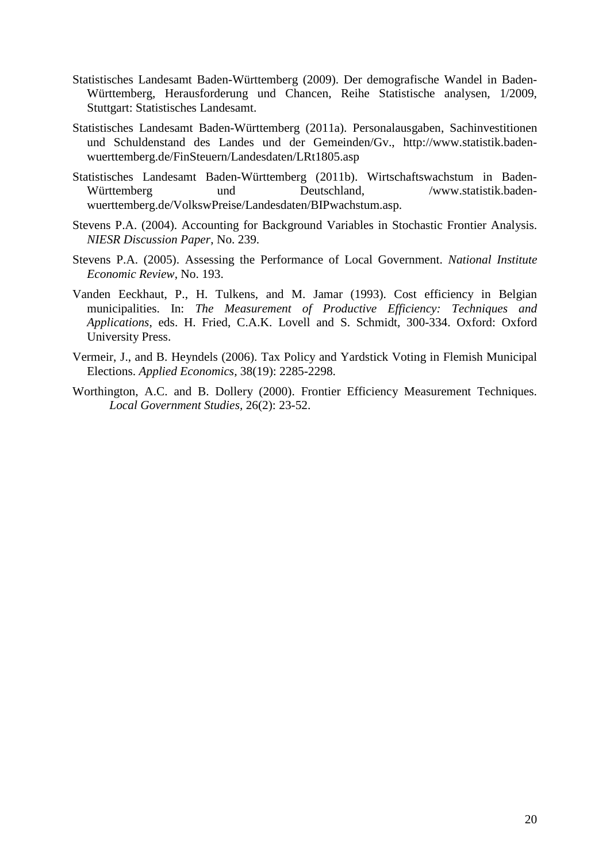- Statistisches Landesamt Baden-Württemberg (2009). Der demografische Wandel in Baden-Württemberg, Herausforderung und Chancen, Reihe Statistische analysen, 1/2009, Stuttgart: Statistisches Landesamt.
- Statistisches Landesamt Baden-Württemberg (2011a). Personalausgaben, Sachinvestitionen und Schuldenstand des Landes und der Gemeinden/Gv., http://www.statistik.badenwuerttemberg.de/FinSteuern/Landesdaten/LRt1805.asp
- Statistisches Landesamt Baden-Württemberg (2011b). Wirtschaftswachstum in Baden-Württemberg and Deutschland, /www.statistik.badenwuerttemberg.de/VolkswPreise/Landesdaten/BIPwachstum.asp.
- Stevens P.A. (2004). Accounting for Background Variables in Stochastic Frontier Analysis. *NIESR Discussion Paper*, No. 239.
- Stevens P.A. (2005). Assessing the Performance of Local Government. *National Institute Economic Review*, No. 193.
- Vanden Eeckhaut, P., H. Tulkens, and M. Jamar (1993). Cost efficiency in Belgian municipalities. In: *The Measurement of Productive Efficiency: Techniques and Applications*, eds. H. Fried, C.A.K. Lovell and S. Schmidt, 300-334. Oxford: Oxford University Press.
- Vermeir, J., and B. Heyndels (2006). Tax Policy and Yardstick Voting in Flemish Municipal Elections. *Applied Economics,* 38(19): 2285-2298.
- Worthington, A.C. and B. Dollery (2000). Frontier Efficiency Measurement Techniques. *Local Government Studies,* 26(2): 23-52.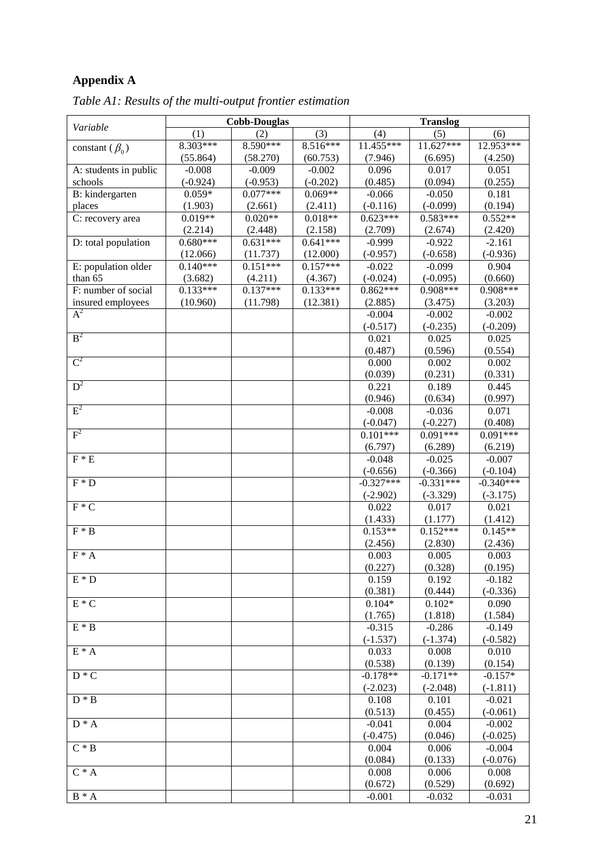# **Appendix A**

|                        | <b>Cobb-Douglas</b> |            |            | <b>Translog</b> |             |             |
|------------------------|---------------------|------------|------------|-----------------|-------------|-------------|
| Variable               | (1)                 | (2)        | (3)        | (4)             | (5)         | (6)         |
| constant ( $\beta_0$ ) | $8.303***$          | $8.590***$ | 8.516***   | 11.455***       | $11.627***$ | 12.953***   |
|                        | (55.864)            | (58.270)   | (60.753)   | (7.946)         | (6.695)     | (4.250)     |
| A: students in public  | $-0.008$            | $-0.009$   | $-0.002$   | 0.096           | 0.017       | 0.051       |
| schools                | $(-0.924)$          | $(-0.953)$ | $(-0.202)$ | (0.485)         | (0.094)     | (0.255)     |
| B: kindergarten        | $0.059*$            | $0.077***$ | $0.069**$  | $-0.066$        | $-0.050$    | 0.181       |
| places                 | (1.903)             | (2.661)    | (2.411)    | $(-0.116)$      | $(-0.099)$  | (0.194)     |
| C: recovery area       | $0.019**$           | $0.020**$  | $0.018**$  | $0.623***$      | $0.583***$  | $0.552**$   |
|                        | (2.214)             | (2.448)    | (2.158)    | (2.709)         | (2.674)     | (2.420)     |
| D: total population    | $0.680***$          | $0.631***$ | $0.641***$ | $-0.999$        | $-0.922$    | $-2.161$    |
|                        | (12.066)            | (11.737)   | (12.000)   | $(-0.957)$      | $(-0.658)$  | $(-0.936)$  |
| E: population older    | $0.140***$          | $0.151***$ | $0.157***$ | $-0.022$        | $-0.099$    | 0.904       |
| than 65                | (3.682)             | (4.211)    | (4.367)    | $(-0.024)$      | $(-0.095)$  | (0.660)     |
| F: number of social    | $0.133***$          | $0.137***$ | $0.133***$ | $0.862***$      | $0.908***$  | $0.908***$  |
| insured employees      | (10.960)            | (11.798)   | (12.381)   | (2.885)         | (3.475)     | (3.203)     |
| $A^2$                  |                     |            |            | $-0.004$        | $-0.002$    | $-0.002$    |
|                        |                     |            |            | $(-0.517)$      | $(-0.235)$  | $(-0.209)$  |
| B <sup>2</sup>         |                     |            |            | 0.021           | 0.025       | 0.025       |
|                        |                     |            |            | (0.487)         | (0.596)     | (0.554)     |
| $\mathbf{C}^2$         |                     |            |            | 0.000           | 0.002       | 0.002       |
|                        |                     |            |            | (0.039)         | (0.231)     | (0.331)     |
| $D^2$                  |                     |            |            | 0.221           | 0.189       | 0.445       |
|                        |                     |            |            | (0.946)         | (0.634)     | (0.997)     |
| $E^2$                  |                     |            |            | $-0.008$        | $-0.036$    | 0.071       |
|                        |                     |            |            | $(-0.047)$      | $(-0.227)$  | (0.408)     |
| $F^2$                  |                     |            |            | $0.101***$      | $0.091***$  | $0.091***$  |
|                        |                     |            |            | (6.797)         | (6.289)     | (6.219)     |
| $F * E$                |                     |            |            | $-0.048$        | $-0.025$    | $-0.007$    |
|                        |                     |            |            | $(-0.656)$      | $(-0.366)$  | $(-0.104)$  |
| $F \ast D$             |                     |            |            | $-0.327***$     | $-0.331***$ | $-0.340***$ |
|                        |                     |            |            | $(-2.902)$      | $(-3.329)$  | $(-3.175)$  |
| $F*C$                  |                     |            |            | 0.022           | 0.017       | 0.021       |
|                        |                     |            |            | (1.433)         | (1.177)     | (1.412)     |
| $F * B$                |                     |            |            | $0.153**$       | $0.152***$  | $0.145**$   |
|                        |                     |            |            | (2.456)         | (2.830)     | (2.436)     |
| $\overline{F^*A}$      |                     |            |            | 0.003           | 0.005       | 0.003       |
|                        |                     |            |            | (0.227)         | (0.328)     | (0.195)     |
| $E * D$                |                     |            |            | 0.159           | 0.192       | $-0.182$    |
|                        |                     |            |            | (0.381)         | (0.444)     | $(-0.336)$  |
| $E * C$                |                     |            |            | $0.104*$        | $0.102*$    | 0.090       |
|                        |                     |            |            | (1.765)         | (1.818)     | (1.584)     |
| $E * B$                |                     |            |            | $-0.315$        | $-0.286$    | $-0.149$    |
|                        |                     |            |            | $(-1.537)$      | $(-1.374)$  | $(-0.582)$  |
| $E^* A$                |                     |            |            | 0.033           | 0.008       | 0.010       |
|                        |                     |            |            | (0.538)         | (0.139)     | (0.154)     |
| $D * C$                |                     |            |            | $-0.178**$      | $-0.171**$  | $-0.157*$   |
|                        |                     |            |            | $(-2.023)$      | $(-2.048)$  | $(-1.811)$  |
| $D * B$                |                     |            |            | 0.108           | 0.101       | $-0.021$    |
|                        |                     |            |            | (0.513)         | (0.455)     | $(-0.061)$  |
| $D^* A$                |                     |            |            | $-0.041$        | 0.004       | $-0.002$    |
|                        |                     |            |            | $(-0.475)$      | (0.046)     | $(-0.025)$  |
| $C * B$                |                     |            |            | 0.004           | 0.006       | $-0.004$    |
|                        |                     |            |            | (0.084)         | (0.133)     | $(-0.076)$  |
| $\overline{C}$ * A     |                     |            |            | 0.008           | 0.006       | 0.008       |
|                        |                     |            |            | (0.672)         | (0.529)     | (0.692)     |
| $\overline{B}$ * A     |                     |            |            | $-0.001$        | $-0.032$    | $-0.031$    |

*Table A1: Results of the multi-output frontier estimation*